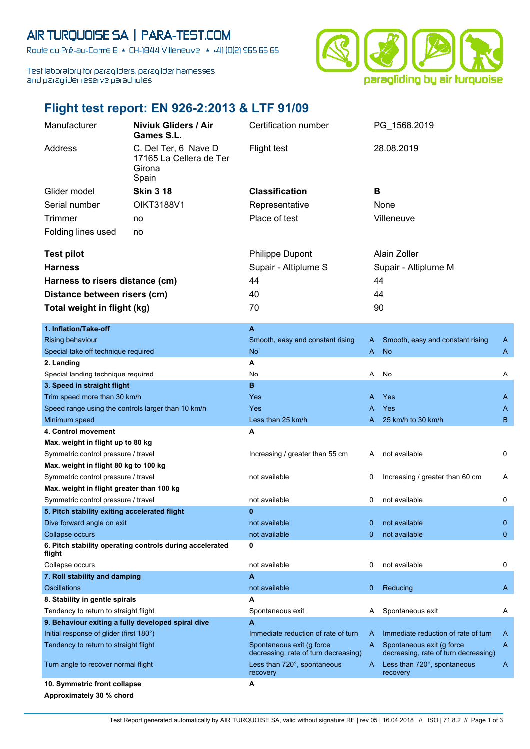## AIR TURQUOISE SA | PARA-TEST.COM

Route du Pré-au-Comte 8 & CH-1844 Villeneuve | 4 +41 (0)21 965 65 65

Test laboratory for paragliders, paraglider harnesses and paraglider reserve parachutes



## **Flight test report: EN 926-2:2013 & LTF 91/09**

| Manufacturer<br><b>Niviuk Gliders / Air</b><br>Games S.L. |                                                                    | Certification number                                              |             | PG_1568.2019                                                       |              |
|-----------------------------------------------------------|--------------------------------------------------------------------|-------------------------------------------------------------------|-------------|--------------------------------------------------------------------|--------------|
| Address                                                   | C. Del Ter, 6 Nave D<br>17165 La Cellera de Ter<br>Girona<br>Spain | <b>Flight test</b>                                                |             | 28.08.2019                                                         |              |
| Glider model                                              | <b>Skin 3 18</b>                                                   | <b>Classification</b>                                             | B           |                                                                    |              |
| Serial number                                             | <b>OIKT3188V1</b>                                                  | Representative                                                    | None        |                                                                    |              |
| <b>Trimmer</b>                                            |                                                                    | Place of test                                                     |             | Villeneuve                                                         |              |
|                                                           | no                                                                 |                                                                   |             |                                                                    |              |
| Folding lines used                                        | no                                                                 |                                                                   |             |                                                                    |              |
| <b>Test pilot</b>                                         |                                                                    | <b>Philippe Dupont</b>                                            |             | Alain Zoller                                                       |              |
| <b>Harness</b>                                            |                                                                    | Supair - Altiplume S                                              |             | Supair - Altiplume M                                               |              |
| Harness to risers distance (cm)                           |                                                                    | 44                                                                | 44          |                                                                    |              |
|                                                           |                                                                    | 40                                                                |             |                                                                    |              |
| Distance between risers (cm)                              |                                                                    |                                                                   | 44          |                                                                    |              |
| Total weight in flight (kg)                               |                                                                    | 70                                                                | 90          |                                                                    |              |
| 1. Inflation/Take-off                                     |                                                                    | A                                                                 |             |                                                                    |              |
| <b>Rising behaviour</b>                                   |                                                                    | Smooth, easy and constant rising                                  | A           | Smooth, easy and constant rising                                   | A            |
| Special take off technique required                       |                                                                    | <b>No</b>                                                         | A           | <b>No</b>                                                          | A            |
| 2. Landing                                                |                                                                    | A                                                                 |             |                                                                    |              |
| Special landing technique required                        |                                                                    | No                                                                | A           | No                                                                 | Α            |
| 3. Speed in straight flight                               |                                                                    | B                                                                 |             |                                                                    |              |
| Trim speed more than 30 km/h                              |                                                                    | Yes                                                               | A           | Yes                                                                | A            |
| Speed range using the controls larger than 10 km/h        |                                                                    | <b>Yes</b>                                                        | A           | Yes                                                                | A            |
| Minimum speed                                             |                                                                    | Less than 25 km/h                                                 | A           | 25 km/h to 30 km/h                                                 | B            |
| 4. Control movement                                       |                                                                    | A                                                                 |             |                                                                    |              |
| Max. weight in flight up to 80 kg                         |                                                                    |                                                                   |             |                                                                    |              |
| Symmetric control pressure / travel                       |                                                                    | Increasing / greater than 55 cm                                   | A           | not available                                                      | 0            |
| Max. weight in flight 80 kg to 100 kg                     |                                                                    |                                                                   |             |                                                                    |              |
| Symmetric control pressure / travel                       |                                                                    | not available                                                     | 0           | Increasing / greater than 60 cm                                    | A            |
| Max. weight in flight greater than 100 kg                 |                                                                    |                                                                   |             |                                                                    |              |
| Symmetric control pressure / travel                       |                                                                    | not available                                                     | 0           | not available                                                      | 0            |
| 5. Pitch stability exiting accelerated flight             |                                                                    | $\bf{0}$                                                          |             |                                                                    |              |
| Dive forward angle on exit                                |                                                                    | not available                                                     | 0           | not available                                                      | $\mathbf{0}$ |
| Collapse occurs                                           |                                                                    | not available                                                     | $\Omega$    | not available                                                      | $\mathbf{0}$ |
| flight                                                    | 6. Pitch stability operating controls during accelerated           | 0                                                                 |             |                                                                    |              |
| Collapse occurs                                           |                                                                    | not available                                                     | 0           | not available                                                      | 0            |
| 7. Roll stability and damping                             |                                                                    | $\overline{A}$                                                    |             |                                                                    |              |
| <b>Oscillations</b>                                       |                                                                    | not available                                                     | $\mathbf 0$ | Reducing                                                           | A            |
| 8. Stability in gentle spirals                            |                                                                    | A                                                                 |             |                                                                    |              |
| Tendency to return to straight flight                     |                                                                    | Spontaneous exit                                                  | A           | Spontaneous exit                                                   | A            |
| 9. Behaviour exiting a fully developed spiral dive        |                                                                    | A                                                                 |             |                                                                    |              |
| Initial response of glider (first 180°)                   |                                                                    | Immediate reduction of rate of turn                               | A           | Immediate reduction of rate of turn                                | A            |
| Tendency to return to straight flight                     |                                                                    | Spontaneous exit (g force<br>decreasing, rate of turn decreasing) | A           | Spontaneous exit (g force)<br>decreasing, rate of turn decreasing) | A            |
| Turn angle to recover normal flight                       |                                                                    | Less than 720°, spontaneous<br>recovery                           | A.          | Less than 720°, spontaneous<br>recovery                            | A            |
| 10. Symmetric front collapse                              |                                                                    | A                                                                 |             |                                                                    |              |
| Approximately 30 % chord                                  |                                                                    |                                                                   |             |                                                                    |              |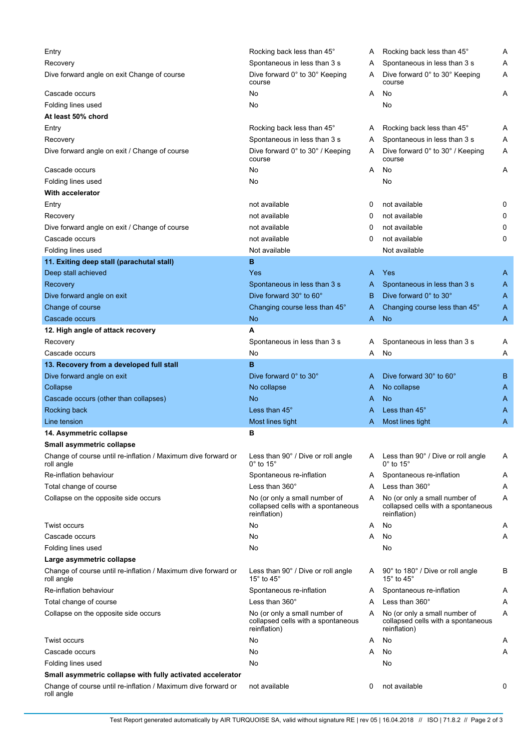| Entry                                                                       | Rocking back less than 45°                                                          | A | Rocking back less than 45°                                                          | Α |
|-----------------------------------------------------------------------------|-------------------------------------------------------------------------------------|---|-------------------------------------------------------------------------------------|---|
| Recovery                                                                    | Spontaneous in less than 3 s                                                        | A | Spontaneous in less than 3 s                                                        | Α |
| Dive forward angle on exit Change of course                                 | Dive forward 0° to 30° Keeping<br>course                                            | A | Dive forward 0° to 30° Keeping<br>course                                            | Α |
| Cascade occurs                                                              | No                                                                                  | A | No                                                                                  | A |
| Folding lines used                                                          | No                                                                                  |   | No                                                                                  |   |
| At least 50% chord                                                          |                                                                                     |   |                                                                                     |   |
| Entry                                                                       | Rocking back less than 45°                                                          | A | Rocking back less than 45°                                                          | Α |
| Recovery                                                                    | Spontaneous in less than 3 s                                                        | A | Spontaneous in less than 3 s                                                        | Α |
| Dive forward angle on exit / Change of course                               | Dive forward 0° to 30° / Keeping                                                    | A | Dive forward 0° to 30° / Keeping                                                    | Α |
|                                                                             | course                                                                              |   | course                                                                              |   |
| Cascade occurs                                                              | No                                                                                  | A | No                                                                                  | Α |
| Folding lines used                                                          | No                                                                                  |   | No                                                                                  |   |
| <b>With accelerator</b>                                                     |                                                                                     |   |                                                                                     |   |
| Entry                                                                       | not available                                                                       | 0 | not available                                                                       | 0 |
| Recovery                                                                    | not available                                                                       | 0 | not available                                                                       | 0 |
| Dive forward angle on exit / Change of course                               | not available                                                                       | 0 | not available                                                                       | 0 |
| Cascade occurs                                                              | not available                                                                       | 0 | not available                                                                       | 0 |
| Folding lines used                                                          | Not available                                                                       |   | Not available                                                                       |   |
| 11. Exiting deep stall (parachutal stall)                                   | в                                                                                   |   |                                                                                     |   |
|                                                                             | <b>Yes</b>                                                                          |   | Yes                                                                                 |   |
| Deep stall achieved                                                         |                                                                                     | A |                                                                                     | A |
| Recovery                                                                    | Spontaneous in less than 3 s                                                        | A | Spontaneous in less than 3 s                                                        | A |
| Dive forward angle on exit                                                  | Dive forward 30° to 60°                                                             | B | Dive forward 0° to 30°                                                              | A |
| Change of course                                                            | Changing course less than 45°                                                       | A | Changing course less than 45°                                                       | A |
| Cascade occurs                                                              | No                                                                                  | A | <b>No</b>                                                                           | A |
| 12. High angle of attack recovery                                           | А                                                                                   |   |                                                                                     |   |
| Recovery                                                                    | Spontaneous in less than 3 s                                                        | A | Spontaneous in less than 3 s                                                        | A |
| Cascade occurs                                                              | No                                                                                  | A | No                                                                                  | Α |
| 13. Recovery from a developed full stall                                    | B                                                                                   |   |                                                                                     |   |
| Dive forward angle on exit                                                  | Dive forward 0° to 30°                                                              | A | Dive forward 30° to 60°                                                             | B |
| Collapse                                                                    | No collapse                                                                         | A | No collapse                                                                         | Α |
| Cascade occurs (other than collapses)                                       | No                                                                                  | A | No                                                                                  | A |
| Rocking back                                                                | Less than 45°                                                                       | A | Less than $45^\circ$                                                                | A |
| Line tension                                                                | Most lines tight                                                                    | A | Most lines tight                                                                    | Α |
| 14. Asymmetric collapse                                                     | в                                                                                   |   |                                                                                     |   |
| Small asymmetric collapse                                                   |                                                                                     |   |                                                                                     |   |
| Change of course until re-inflation / Maximum dive forward or<br>roll angle | Less than 90° / Dive or roll angle<br>$0^\circ$ to 15 $^\circ$                      | A | Less than 90° / Dive or roll angle<br>$0^{\circ}$ to 15 $^{\circ}$                  | Α |
| Re-inflation behaviour                                                      | Spontaneous re-inflation                                                            | A | Spontaneous re-inflation                                                            | Α |
| Total change of course                                                      | Less than 360°                                                                      | A | Less than 360°                                                                      | Α |
| Collapse on the opposite side occurs                                        | No (or only a small number of<br>collapsed cells with a spontaneous<br>reinflation) | A | No (or only a small number of<br>collapsed cells with a spontaneous<br>reinflation) | Α |
| <b>Twist occurs</b>                                                         | No                                                                                  | A | No                                                                                  | A |
| Cascade occurs                                                              | No                                                                                  | A | No                                                                                  | Α |
| Folding lines used                                                          | No                                                                                  |   | No                                                                                  |   |
| Large asymmetric collapse                                                   |                                                                                     |   |                                                                                     |   |
| Change of course until re-inflation / Maximum dive forward or<br>roll angle | Less than 90° / Dive or roll angle<br>15 $\degree$ to 45 $\degree$                  | A | 90° to 180° / Dive or roll angle<br>15 $\degree$ to 45 $\degree$                    | В |
| Re-inflation behaviour                                                      | Spontaneous re-inflation                                                            | A | Spontaneous re-inflation                                                            | Α |
| Total change of course                                                      | Less than $360^\circ$                                                               | A | Less than $360^\circ$                                                               | Α |
| Collapse on the opposite side occurs                                        | No (or only a small number of<br>collapsed cells with a spontaneous<br>reinflation) | A | No (or only a small number of<br>collapsed cells with a spontaneous<br>reinflation) | Α |
| <b>Twist occurs</b>                                                         | No                                                                                  | A | No                                                                                  | Α |
| Cascade occurs                                                              | No                                                                                  | A | No                                                                                  | Α |
| Folding lines used                                                          | No                                                                                  |   | No                                                                                  |   |
| Small asymmetric collapse with fully activated accelerator                  |                                                                                     |   |                                                                                     |   |
| Change of course until re-inflation / Maximum dive forward or<br>roll angle | not available                                                                       | 0 | not available                                                                       | 0 |